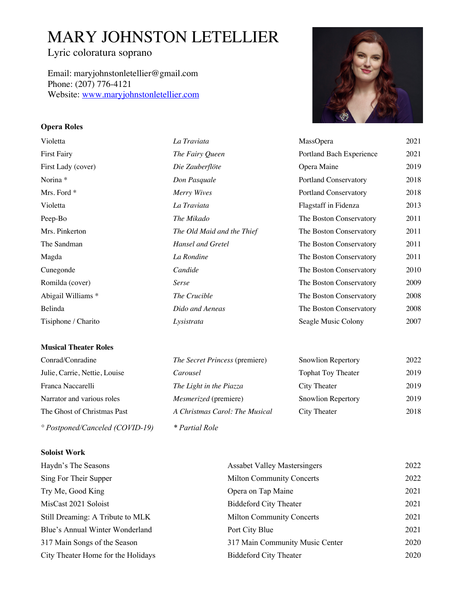# MARY JOHNSTON LETELLIER

# Lyric coloratura soprano

Email: maryjohnstonletellier@gmail.com Phone: (207) 776-4121 Website: www.maryjohnstonletellier.com

## **Opera Roles**

| Violetta            | La Traviata                | MassOpera                    | 2021 |
|---------------------|----------------------------|------------------------------|------|
| First Fairy         | The Fairy Queen            | Portland Bach Experience     | 2021 |
| First Lady (cover)  | Die Zauberflöte            | Opera Maine                  | 2019 |
| Norina *            | Don Pasquale               | <b>Portland Conservatory</b> | 2018 |
| Mrs. Ford *         | Merry Wives                | <b>Portland Conservatory</b> | 2018 |
| Violetta            | La Traviata                | Flagstaff in Fidenza         | 2013 |
| Peep-Bo             | The Mikado                 | The Boston Conservatory      | 2011 |
| Mrs. Pinkerton      | The Old Maid and the Thief | The Boston Conservatory      | 2011 |
| The Sandman         | Hansel and Gretel          | The Boston Conservatory      | 2011 |
| Magda               | La Rondine                 | The Boston Conservatory      | 2011 |
| Cunegonde           | Candide                    | The Boston Conservatory      | 2010 |
| Romilda (cover)     | Serse                      | The Boston Conservatory      | 2009 |
| Abigail Williams *  | The Crucible               | The Boston Conservatory      | 2008 |
| Belinda             | Dido and Aeneas            | The Boston Conservatory      | 2008 |
| Tisiphone / Charito | Lysistrata                 | Seagle Music Colony          | 2007 |
|                     |                            |                              |      |

#### **Musical Theater Roles**

**Soloist Work**

| Conrad/Conradine                         | The Secret Princess (premiere) | <b>Snowlion Repertory</b> | 2022 |
|------------------------------------------|--------------------------------|---------------------------|------|
| Julie, Carrie, Nettie, Louise            | Carousel                       | <b>Tophat Toy Theater</b> | 2019 |
| Franca Naccarelli                        | The Light in the Piazza        | City Theater              | 2019 |
| Narrator and various roles               | <i>Mesmerized</i> (premiere)   | <b>Snowlion Repertory</b> | 2019 |
| The Ghost of Christmas Past              | A Christmas Carol: The Musical | City Theater              | 2018 |
| $^{\circ}$ Postponed/Canceled (COVID-19) | <i>* Partial Role</i>          |                           |      |

| Haydn's The Seasons                | <b>Assabet Valley Mastersingers</b> | 2022 |
|------------------------------------|-------------------------------------|------|
| Sing For Their Supper              | <b>Milton Community Concerts</b>    | 2022 |
| Try Me, Good King                  | Opera on Tap Maine                  | 2021 |
| MisCast 2021 Soloist               | <b>Biddeford City Theater</b>       | 2021 |
| Still Dreaming: A Tribute to MLK   | <b>Milton Community Concerts</b>    | 2021 |
| Blue's Annual Winter Wonderland    | Port City Blue                      | 2021 |
| 317 Main Songs of the Season       | 317 Main Community Music Center     | 2020 |
| City Theater Home for the Holidays | <b>Biddeford City Theater</b>       | 2020 |



| <i>The Secret Princess</i> (premiere) |  |
|---------------------------------------|--|
| Carousel                              |  |
| The Light in the Piazza               |  |
| Mesmerized (premiere)                 |  |
| A Christmas Carol: The Musical        |  |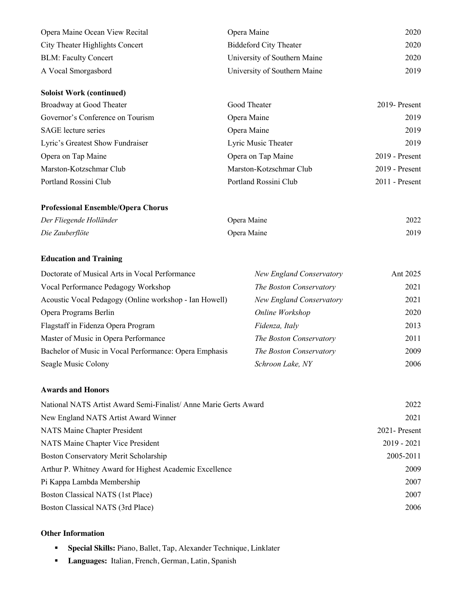| Opera Maine Ocean View Recital  | Opera Maine                   | 2020 |
|---------------------------------|-------------------------------|------|
| City Theater Highlights Concert | <b>Biddeford City Theater</b> | 2020 |
| <b>BLM: Faculty Concert</b>     | University of Southern Maine  | 2020 |
| A Vocal Smorgasbord             | University of Southern Maine  | 2019 |

| <b>Soloist Work (continued)</b>  |                         |                  |
|----------------------------------|-------------------------|------------------|
| Broadway at Good Theater         | Good Theater            | 2019-Present     |
| Governor's Conference on Tourism | Opera Maine             | 2019             |
| <b>SAGE</b> lecture series       | Opera Maine             | 2019             |
| Lyric's Greatest Show Fundraiser | Lyric Music Theater     | 2019             |
| Opera on Tap Maine               | Opera on Tap Maine      | $2019$ - Present |
| Marston-Kotzschmar Club          | Marston-Kotzschmar Club | $2019$ - Present |
| Portland Rossini Club            | Portland Rossini Club   | $2011$ - Present |

#### **Professional Ensemble/Opera Chorus**

| Der Fliegende Holländer | Opera Maine | 2022 |
|-------------------------|-------------|------|
| Die Zauberflöte         | Opera Maine | 2019 |

### **Education and Training**

| Doctorate of Musical Arts in Vocal Performance         | <b>New England Conservatory</b> | Ant 2025 |
|--------------------------------------------------------|---------------------------------|----------|
| Vocal Performance Pedagogy Workshop                    | The Boston Conservatory         | 2021     |
| Acoustic Vocal Pedagogy (Online workshop - Ian Howell) | <b>New England Conservatory</b> | 2021     |
| Opera Programs Berlin                                  | Online Workshop                 | 2020     |
| Flagstaff in Fidenza Opera Program                     | Fidenza, Italy                  | 2013     |
| Master of Music in Opera Performance                   | The Boston Conservatory         | 2011     |
| Bachelor of Music in Vocal Performance: Opera Emphasis | The Boston Conservatory         | 2009     |
| Seagle Music Colony                                    | Schroon Lake, NY                | 2006     |

#### **Awards and Honors**

| National NATS Artist Award Semi-Finalist/Anne Marie Gerts Award | 2022           |
|-----------------------------------------------------------------|----------------|
| New England NATS Artist Award Winner                            | 2021           |
| NATS Maine Chapter President                                    | 2021 - Present |
| NATS Maine Chapter Vice President                               | $2019 - 2021$  |
| Boston Conservatory Merit Scholarship                           | 2005-2011      |
| Arthur P. Whitney Award for Highest Academic Excellence         | 2009           |
| Pi Kappa Lambda Membership                                      | 2007           |
| Boston Classical NATS (1st Place)                               | 2007           |
| Boston Classical NATS (3rd Place)                               | 2006           |

#### **Other Information**

- § **Special Skills:** Piano, Ballet, Tap, Alexander Technique, Linklater
- § **Languages:** Italian, French, German, Latin, Spanish